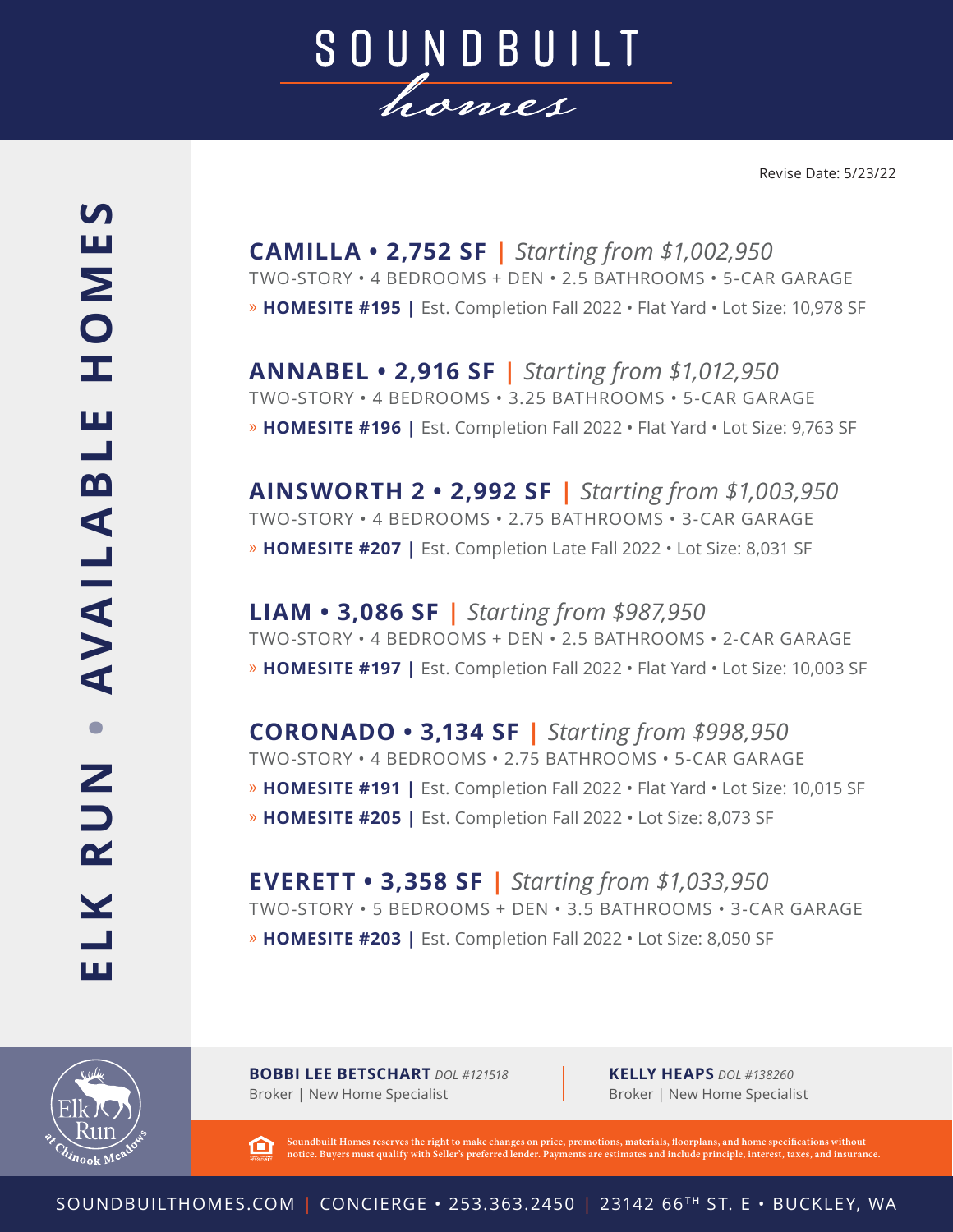

**CAMILLA • 2,752 SF |** *Starting from \$1,002,950* TWO-STORY • 4 BEDROOMS + DEN • 2.5 BATHROOMS • 5-CAR GARAGE » **HOMESITE #195 |** Est. Completion Fall 2022 • Flat Yard • Lot Size: 10,978 SF

**ANNABEL • 2,916 SF |** *Starting from \$1,012,950* TWO-STORY • 4 BEDROOMS • 3.25 BATHROOMS • 5-CAR GARAGE » **HOMESITE #196 |** Est. Completion Fall 2022 • Flat Yard • Lot Size: 9,763 SF

**AINSWORTH 2 • 2,992 SF |** *Starting from \$1,003,950* TWO-STORY • 4 BEDROOMS • 2.75 BATHROOMS • 3-CAR GARAGE » **HOMESITE #207 |** Est. Completion Late Fall 2022 • Lot Size: 8,031 SF

**LIAM • 3,086 SF |** *Starting from \$987,950* TWO-STORY • 4 BEDROOMS + DEN • 2.5 BATHROOMS • 2-CAR GARAGE » **HOMESITE #197 |** Est. Completion Fall 2022 • Flat Yard • Lot Size: 10,003 SF

**CORONADO • 3,134 SF |** *Starting from \$998,950* TWO-STORY • 4 BEDROOMS • 2.75 BATHROOMS • 5-CAR GARAGE » **HOMESITE #191 |** Est. Completion Fall 2022 • Flat Yard • Lot Size: 10,015 SF » **HOMESITE #205 |** Est. Completion Fall 2022 • Lot Size: 8,073 SF

**EVERETT • 3,358 SF |** *Starting from \$1,033,950* TWO-STORY • 5 BEDROOMS + DEN • 3.5 BATHROOMS • 3-CAR GARAGE » **HOMESITE #203 |** Est. Completion Fall 2022 • Lot Size: 8,050 SF



**BOBBI LEE BETSCHART** *DOL #121518* Broker | New Home Specialist

**KELLY HEAPS** *DOL #138260* Broker | New Home Specialist

**Soundbuilt Homes reserves the right to make changes on price, promotions, materials, floorplans, and home specifications without**  臼 **notice. Buyers must qualify with Seller's preferred lender. Payments are estimates and include principle, interest, taxes, and insurance.**